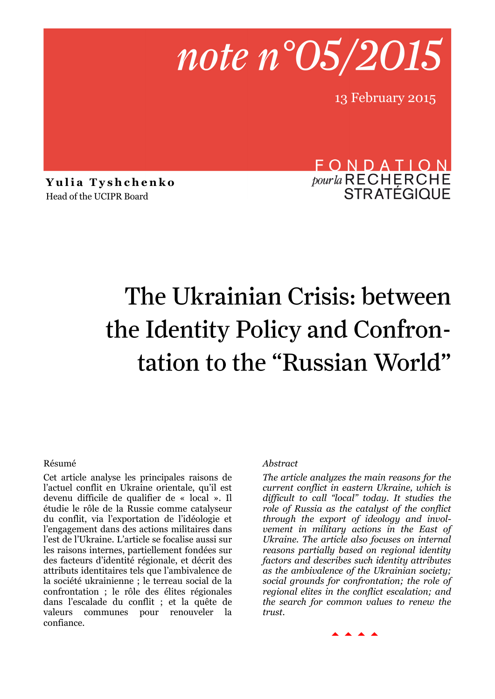

13 February 2015

**Yulia Tyshchenko** Head of the UCIPR Board

FONDATION *pour la* RECHERCHE<br>STRATÉGIQUE

# The Ukrainian Crisis: between the Identity Policy and Confrontation to the "Russian World"

#### Résumé

Cet article analyse les principales raisons de l'actuel conflit en Ukraine orientale, qu'il est devenu difficile de qualifier de « local ». Il étudie le rôle de la Russie comme catalyseur du conflit, via l'exportation de l'idéologie et l'engagement dans des actions militaires dans l'est de l'Ukraine. L'article se focalise aussi sur les raisons internes, partiellement fondées sur des facteurs d'identité régionale, et décrit des attributs identitaires tels que l'ambivalence de la société ukrainienne ; le terreau social de la confrontation ; le rôle des élites régionales dans l'escalade du conflit ; et la quête de valeurs communes pour renouveler la confiance.

#### *Abstract*

*The article analyzes the main reasons for the current conflict in eastern Ukraine, which is difficult to call "local" today. It studies the role of Russia as the catalyst of the conflict through the export of ideology and involvement in military actions in the East of Ukraine. The article also focuses on internal reasons partially based on regional identity factors and describes such identity attributes as the ambivalence of the Ukrainian society; social grounds for confrontation; the role of regional elites in the conflict escalation; and the search for common values to renew the trust.* 

 $\begin{array}{c} \hline \hline \hline \end{array}$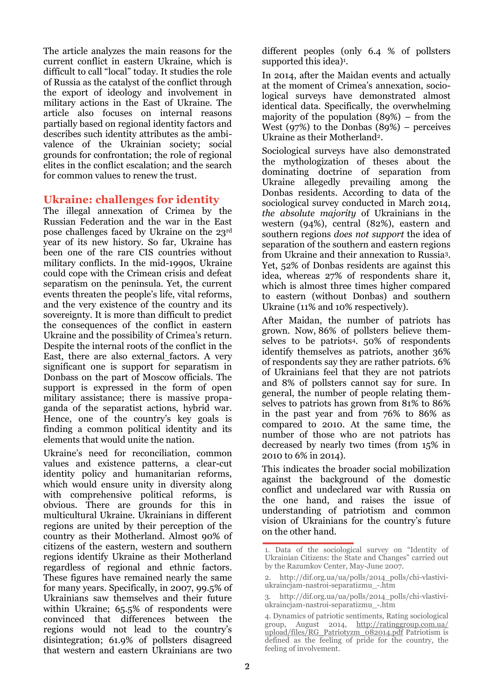The article analyzes the main reasons for the current conflict in eastern Ukraine, which is difficult to call "local" today. It studies the role of Russia as the catalyst of the conflict through the export of ideology and involvement in military actions in the East of Ukraine. The article also focuses on internal reasons partially based on regional identity factors and describes such identity attributes as the ambivalence of the Ukrainian society; social grounds for confrontation; the role of regional elites in the conflict escalation; and the search for common values to renew the trust.

## **Ukraine: challenges for identity**

The illegal annexation of Crimea by the Russian Federation and the war in the East pose challenges faced by Ukraine on the 23rd year of its new history. So far, Ukraine has been one of the rare CIS countries without military conflicts. In the mid-1990s, Ukraine could cope with the Crimean crisis and defeat separatism on the peninsula. Yet, the current events threaten the people's life, vital reforms, and the very existence of the country and its sovereignty. It is more than difficult to predict the consequences of the conflict in eastern Ukraine and the possibility of Crimea's return. Despite the internal roots of the conflict in the East, there are also external factors. A very significant one is support for separatism in Donbass on the part of Moscow officials. The support is expressed in the form of open military assistance; there is massive propaganda of the separatist actions, hybrid war. Hence, one of the country's key goals is finding a common political identity and its elements that would unite the nation.

Ukraine's need for reconciliation, common values and existence patterns, a clear-cut identity policy and humanitarian reforms, which would ensure unity in diversity along with comprehensive political reforms, is obvious. There are grounds for this in multicultural Ukraine. Ukrainians in different regions are united by their perception of the country as their Motherland. Almost 90% of citizens of the eastern, western and southern regions identify Ukraine as their Motherland regardless of regional and ethnic factors. These figures have remained nearly the same for many years. Specifically, in 2007, 99.5% of Ukrainians saw themselves and their future within Ukraine; 65.5% of respondents were convinced that differences between the regions would not lead to the country's disintegration; 61.9% of pollsters disagreed that western and eastern Ukrainians are two

different peoples (only 6.4 % of pollsters supported this idea)<sup>1</sup>.

In 2014, after the Maidan events and actually at the moment of Crimea's annexation, sociological surveys have demonstrated almost identical data. Specifically, the overwhelming majority of the population (89%) – from the West  $(97%)$  to the Donbas  $(89%)$  – perceives Ukraine as their Motherland2.

Sociological surveys have also demonstrated the mythologization of theses about the dominating doctrine of separation from Ukraine allegedly prevailing among the Donbas residents. According to data of the sociological survey conducted in March 2014, *the absolute majority* of Ukrainians in the western (94%), central (82%), eastern and southern regions *does not support* the idea of separation of the southern and eastern regions from Ukraine and their annexation to Russia3. Yet, 52% of Donbas residents are against this idea, whereas 27% of respondents share it, which is almost three times higher compared to eastern (without Donbas) and southern Ukraine (11% and 10% respectively).

After Maidan, the number of patriots has grown. Now, 86% of pollsters believe themselves to be patriots4. 50% of respondents identify themselves as patriots, another 36% of respondents say they are rather patriots. 6% of Ukrainians feel that they are not patriots and 8% of pollsters cannot say for sure. In general, the number of people relating themselves to patriots has grown from 81% to 86% in the past year and from 76% to 86% as compared to 2010. At the same time, the number of those who are not patriots has decreased by nearly two times (from 15% in 2010 to 6% in 2014).

This indicates the broader social mobilization against the background of the domestic conflict and undeclared war with Russia on the one hand, and raises the issue of understanding of patriotism and common vision of Ukrainians for the country's future on the other hand.

<sup>1.</sup> Data of the sociological survey on "Identity of Ukrainian Citizens: the State and Changes" carried out by the Razumkov Center, May-June 2007.

<sup>2.</sup> http://dif.org.ua/ua/polls/2014\_polls/chi-vlastiviukraincjam-nastroi-separatizmu\_-.htm

<sup>3.</sup> http://dif.org.ua/ua/polls/2014\_polls/chi-vlastiviukraincjam-nastroi-separatizmu\_-.htm

<sup>4.</sup> Dynamics of patriotic sentiments, Rating sociological group, August 2014, [http://ratinggroup.com.ua/](http://ratinggroup.com.ua/upload/files/RG_Patriotyzm_082014.pdf) [upload/files/RG\\_Patriotyzm\\_082014.pdf](http://ratinggroup.com.ua/upload/files/RG_Patriotyzm_082014.pdf) Patriotism is defined as the feeling of pride for the country, the feeling of involvement.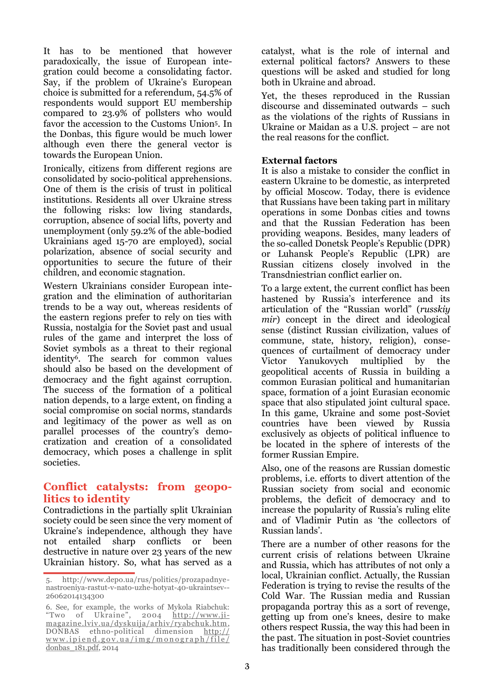It has to be mentioned that however paradoxically, the issue of European integration could become a consolidating factor. Say, if the problem of Ukraine's European choice is submitted for a referendum, 54.5% of respondents would support EU membership compared to 23.9% of pollsters who would favor the accession to the Customs Union5. In the Donbas, this figure would be much lower although even there the general vector is towards the European Union.

Ironically, citizens from different regions are consolidated by socio-political apprehensions. One of them is the crisis of trust in political institutions. Residents all over Ukraine stress the following risks: low living standards, corruption, absence of social lifts, poverty and unemployment (only 59.2% of the able-bodied Ukrainians aged 15-70 are employed), social polarization, absence of social security and opportunities to secure the future of their children, and economic stagnation.

Western Ukrainians consider European integration and the elimination of authoritarian trends to be a way out, whereas residents of the eastern regions prefer to rely on ties with Russia, nostalgia for the Soviet past and usual rules of the game and interpret the loss of Soviet symbols as a threat to their regional identity<sup>6</sup>. The search for common values should also be based on the development of democracy and the fight against corruption. The success of the formation of a political nation depends, to a large extent, on finding a social compromise on social norms, standards and legitimacy of the power as well as on parallel processes of the country's democratization and creation of a consolidated democracy, which poses a challenge in split societies.

## **Conflict catalysts: from geopolitics to identity**

Contradictions in the partially split Ukrainian society could be seen since the very moment of Ukraine's independence, although they have not entailed sharp conflicts or been destructive in nature over 23 years of the new Ukrainian history. So, what has served as a

catalyst, what is the role of internal and external political factors? Answers to these questions will be asked and studied for long both in Ukraine and abroad.

Yet, the theses reproduced in the Russian discourse and disseminated outwards – such as the violations of the rights of Russians in Ukraine or Maidan as a U.S. project – are not the real reasons for the conflict.

### **External factors**

It is also a mistake to consider the conflict in eastern Ukraine to be domestic, as interpreted by official Moscow. Today, there is evidence that Russians have been taking part in military operations in some Donbas cities and towns and that the Russian Federation has been providing weapons. Besides, many leaders of the so-called Donetsk People's Republic (DPR) or Luhansk People's Republic (LPR) are Russian citizens closely involved in the Transdniestrian conflict earlier on.

To a large extent, the current conflict has been hastened by Russia's interference and its articulation of the "Russian world" (*russkiy mir*) concept in the direct and ideological sense (distinct Russian civilization, values of commune, state, history, religion), consequences of curtailment of democracy under Victor Yanukovych multiplied by the geopolitical accents of Russia in building a common Eurasian political and humanitarian space, formation of a joint Eurasian economic space that also stipulated joint cultural space. In this game, Ukraine and some post-Soviet countries have been viewed by Russia exclusively as objects of political influence to be located in the sphere of interests of the former Russian Empire.

Also, one of the reasons are Russian domestic problems, i.e. efforts to divert attention of the Russian society from social and economic problems, the deficit of democracy and to increase the popularity of Russia's ruling elite and of Vladimir Putin as 'the collectors of Russian lands'.

There are a number of other reasons for the current crisis of relations between Ukraine and Russia, which has attributes of not only a local, Ukrainian conflict. Actually, the Russian Federation is trying to revise the results of the Cold War. The Russian media and Russian propaganda portray this as a sort of revenge, getting up from one's knees, desire to make others respect Russia, the way this had been in the past. The situation in post-Soviet countries has traditionally been considered through the

<sup>5.</sup> http://www.depo.ua/rus/politics/prozapadnyenastroeniya-rastut-v-nato-uzhe-hotyat-40-ukraintsev-- 26062014134300

<sup>6.</sup> See, for example, the works of Mykola Riabchuk: "Two of Ukraine", 2004 [http://www.ji](http://www.ji-magazine.lviv.ua/dyskusija/arhiv/ryabchuk.htm)[magazine.lviv.ua/dyskuija/arhiv/ryabchuk.htm,](http://www.ji-magazine.lviv.ua/dyskusija/arhiv/ryabchuk.htm) DONBAS ethno-political dimension [http://](http://www.ipiend.gov.ua/img/monograph/file/donbas_181.pdf)  $www.ipiend.gov.ua/img/monograph/file/$ [donbas\\_181.pdf,](http://www.ipiend.gov.ua/img/monograph/file/donbas_181.pdf) 2014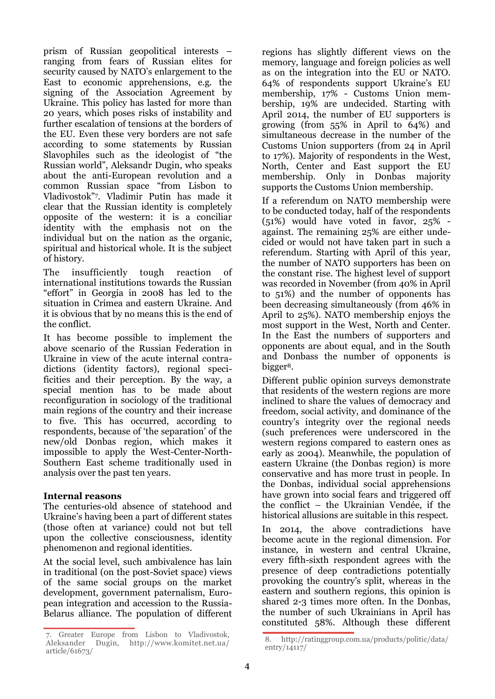prism of Russian geopolitical interests – ranging from fears of Russian elites for security caused by NATO's enlargement to the East to economic apprehensions, e.g. the signing of the Association Agreement by Ukraine. This policy has lasted for more than 20 years, which poses risks of instability and further escalation of tensions at the borders of the EU. Even these very borders are not safe according to some statements by Russian Slavophiles such as the ideologist of "the Russian world", Aleksandr Dugin, who speaks about the anti-European revolution and a common Russian space "from Lisbon to Vladivostok"<sup>7</sup> . Vladimir Putin has made it clear that the Russian identity is completely opposite of the western: it is a conciliar identity with the emphasis not on the individual but on the nation as the organic, spiritual and historical whole. It is the subject of history.

The insufficiently tough reaction of international institutions towards the Russian "effort" in Georgia in 2008 has led to the situation in Crimea and eastern Ukraine. And it is obvious that by no means this is the end of the conflict.

It has become possible to implement the above scenario of the Russian Federation in Ukraine in view of the acute internal contradictions (identity factors), regional specificities and their perception. By the way, a special mention has to be made about reconfiguration in sociology of the traditional main regions of the country and their increase to five. This has occurred, according to respondents, because of 'the separation' of the new/old Donbas region, which makes it impossible to apply the West-Center-North-Southern East scheme traditionally used in analysis over the past ten years.

#### **Internal reasons**

The centuries-old absence of statehood and Ukraine's having been a part of different states (those often at variance) could not but tell upon the collective consciousness, identity phenomenon and regional identities.

At the social level, such ambivalence has lain in traditional (on the post-Soviet space) views of the same social groups on the market development, government paternalism, European integration and accession to the Russia-Belarus alliance. The population of different

regions has slightly different views on the memory, language and foreign policies as well as on the integration into the EU or NATO. 64% of respondents support Ukraine's EU membership, 17% - Customs Union membership, 19% are undecided. Starting with April 2014, the number of EU supporters is growing (from 55% in April to 64%) and simultaneous decrease in the number of the Customs Union supporters (from 24 in April to 17%). Majority of respondents in the West, North, Center and East support the EU membership. Only in Donbas majority supports the Customs Union membership.

If a referendum on NATO membership were to be conducted today, half of the respondents (51%) would have voted in favor, 25% against. The remaining 25% are either undecided or would not have taken part in such a referendum. Starting with April of this year, the number of NATO supporters has been on the constant rise. The highest level of support was recorded in November (from 40% in April to 51%) and the number of opponents has been decreasing simultaneously (from 46% in April to 25%). NATO membership enjoys the most support in the West, North and Center. In the East the numbers of supporters and opponents are about equal, and in the South and Donbass the number of opponents is bigger<sup>8</sup>.

Different public opinion surveys demonstrate that residents of the western regions are more inclined to share the values of democracy and freedom, social activity, and dominance of the country's integrity over the regional needs (such preferences were underscored in the western regions compared to eastern ones as early as 2004). Meanwhile, the population of eastern Ukraine (the Donbas region) is more conservative and has more trust in people. In the Donbas, individual social apprehensions have grown into social fears and triggered off the conflict – the Ukrainian Vendée, if the historical allusions are suitable in this respect.

In 2014, the above contradictions have become acute in the regional dimension. For instance, in western and central Ukraine, every fifth-sixth respondent agrees with the presence of deep contradictions potentially provoking the country's split, whereas in the eastern and southern regions, this opinion is shared 2-3 times more often. In the Donbas, the number of such Ukrainians in April has constituted 58%. Although these different

<sup>7.</sup> Greater Europe from Lisbon to Vladivostok,<br>Aleksander Dugin, http://www.komitet.net.ua/ Dugin, http://www.komitet.net.ua/ article/61673/

<sup>8.</sup> http://ratinggroup.com.ua/products/politic/data/ entry/14117/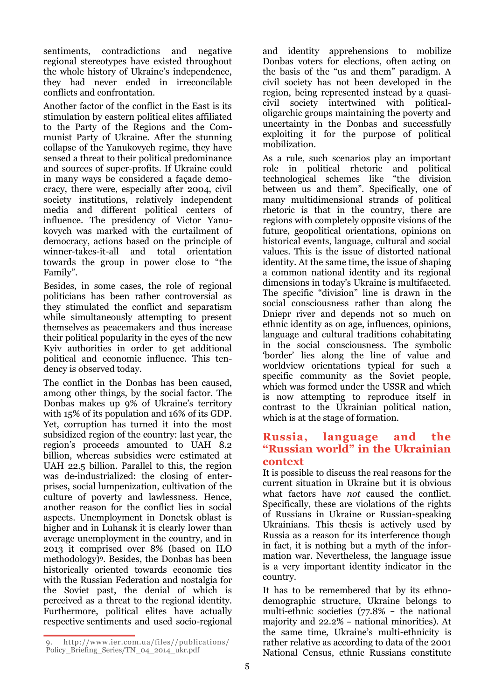sentiments, contradictions and negative regional stereotypes have existed throughout the whole history of Ukraine's independence, they had never ended in irreconcilable conflicts and confrontation.

Another factor of the conflict in the East is its stimulation by eastern political elites affiliated to the Party of the Regions and the Communist Party of Ukraine. After the stunning collapse of the Yanukovych regime, they have sensed a threat to their political predominance and sources of super-profits. If Ukraine could in many ways be considered a façade democracy, there were, especially after 2004, civil society institutions, relatively independent media and different political centers of influence. The presidency of Victor Yanukovych was marked with the curtailment of democracy, actions based on the principle of winner-takes-it-all and total orientation towards the group in power close to "the Family".

Besides, in some cases, the role of regional politicians has been rather controversial as they stimulated the conflict and separatism while simultaneously attempting to present themselves as peacemakers and thus increase their political popularity in the eyes of the new Kyiv authorities in order to get additional political and economic influence. This tendency is observed today.

The conflict in the Donbas has been caused, among other things, by the social factor. The Donbas makes up 9% of Ukraine's territory with 15% of its population and 16% of its GDP. Yet, corruption has turned it into the most subsidized region of the country: last year, the region's proceeds amounted to UAH 8.2 billion, whereas subsidies were estimated at UAH 22.5 billion. Parallel to this, the region was de-industrialized: the closing of enterprises, social lumpenization, cultivation of the culture of poverty and lawlessness. Hence, another reason for the conflict lies in social aspects. Unemployment in Donetsk oblast is higher and in Luhansk it is clearly lower than average unemployment in the country, and in 2013 it comprised over 8% (based on ILO methodology)9. Besides, the Donbas has been historically oriented towards economic ties with the Russian Federation and nostalgia for the Soviet past, the denial of which is perceived as a threat to the regional identity. Furthermore, political elites have actually respective sentiments and used socio-regional

9. http://www.ier.com.ua/files//publications/ Policy\_Briefing\_Series/TN\_04\_2014\_ukr.pdf

and identity apprehensions to mobilize Donbas voters for elections, often acting on the basis of the "us and them" paradigm. A civil society has not been developed in the region, being represented instead by a quasicivil society intertwined with politicaloligarchic groups maintaining the poverty and uncertainty in the Donbas and successfully exploiting it for the purpose of political mobilization.

As a rule, such scenarios play an important role in political rhetoric and political technological schemes like "the division between us and them". Specifically, one of many multidimensional strands of political rhetoric is that in the country, there are regions with completely opposite visions of the future, geopolitical orientations, opinions on historical events, language, cultural and social values. This is the issue of distorted national identity. At the same time, the issue of shaping a common national identity and its regional dimensions in today's Ukraine is multifaceted. The specific "division" line is drawn in the social consciousness rather than along the Dniepr river and depends not so much on ethnic identity as on age, influences, opinions, language and cultural traditions cohabitating in the social consciousness. The symbolic 'border' lies along the line of value and worldview orientations typical for such a specific community as the Soviet people, which was formed under the USSR and which is now attempting to reproduce itself in contrast to the Ukrainian political nation, which is at the stage of formation.

## **Russia, language and the "Russian world" in the Ukrainian context**

It is possible to discuss the real reasons for the current situation in Ukraine but it is obvious what factors have *not* caused the conflict. Specifically, these are violations of the rights of Russians in Ukraine or Russian-speaking Ukrainians. This thesis is actively used by Russia as a reason for its interference though in fact, it is nothing but a myth of the information war. Nevertheless, the language issue is a very important identity indicator in the country.

It has to be remembered that by its ethnodemographic structure, Ukraine belongs to multi-ethnic societies  $(77.8\% - \text{the national})$ majority and  $22.2\%$  - national minorities). At the same time, Ukraine's multi-ethnicity is rather relative as according to data of the 2001 National Census, ethnic Russians constitute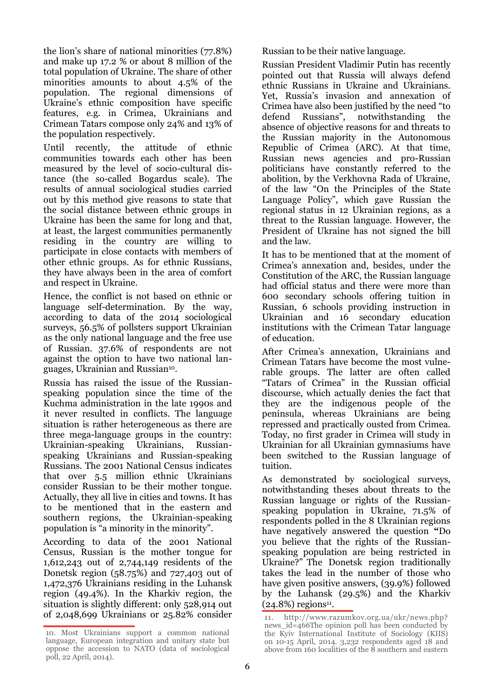the lion's share of national minorities (77.8%) and make up 17.2 % or about 8 million of the total population of Ukraine. The share of other minorities amounts to about 4.5% of the population. The regional dimensions of Ukraine's ethnic composition have specific features, e.g. in Crimea, Ukrainians and Crimean Tatars compose only 24% and 13% of the population respectively.

Until recently, the attitude of ethnic communities towards each other has been measured by the level of socio-cultural distance (the so-called Bogardus scale). The results of annual sociological studies carried out by this method give reasons to state that the social distance between ethnic groups in Ukraine has been the same for long and that, at least, the largest communities permanently residing in the country are willing to participate in close contacts with members of other ethnic groups. As for ethnic Russians, they have always been in the area of comfort and respect in Ukraine.

Hence, the conflict is not based on ethnic or language self-determination. By the way, according to data of the 2014 sociological surveys, 56.5% of pollsters support Ukrainian as the only national language and the free use of Russian. 37.6% of respondents are not against the option to have two national languages, Ukrainian and Russian10.

Russia has raised the issue of the Russianspeaking population since the time of the Kuchma administration in the late 1990s and it never resulted in conflicts. The language situation is rather heterogeneous as there are three mega-language groups in the country: Ukrainian-speaking Ukrainians, Russianspeaking Ukrainians and Russian-speaking Russians. The 2001 National Census indicates that over 5.5 million ethnic Ukrainians consider Russian to be their mother tongue. Actually, they all live in cities and towns. It has to be mentioned that in the eastern and southern regions, the Ukrainian-speaking population is "a minority in the minority".

According to data of the 2001 National Census, Russian is the mother tongue for 1,612,243 out of 2,744,149 residents of the Donetsk region (58.75%) and 727,403 out of 1,472,376 Ukrainians residing in the Luhansk region (49.4%). In the Kharkiv region, the situation is slightly different: only 528,914 out of 2,048,699 Ukrainians or 25.82% consider Russian to be their native language.

Russian President Vladimir Putin has recently pointed out that Russia will always defend ethnic Russians in Ukraine and Ukrainians. Yet, Russia's invasion and annexation of Crimea have also been justified by the need "to defend Russians", notwithstanding the absence of objective reasons for and threats to the Russian majority in the Autonomous Republic of Crimea (ARC). At that time, Russian news agencies and pro-Russian politicians have constantly referred to the abolition, by the Verkhovna Rada of Ukraine, of the law "On the Principles of the State Language Policy", which gave Russian the regional status in 12 Ukrainian regions, as a threat to the Russian language. However, the President of Ukraine has not signed the bill and the law.

It has to be mentioned that at the moment of Crimea's annexation and, besides, under the Constitution of the ARC, the Russian language had official status and there were more than 600 secondary schools offering tuition in Russian, 6 schools providing instruction in Ukrainian and 16 secondary education institutions with the Crimean Tatar language of education.

After Crimea's annexation, Ukrainians and Crimean Tatars have become the most vulnerable groups. The latter are often called "Tatars of Crimea" in the Russian official discourse, which actually denies the fact that they are the indigenous people of the peninsula, whereas Ukrainians are being repressed and practically ousted from Crimea. Today, no first grader in Crimea will study in Ukrainian for all Ukrainian gymnasiums have been switched to the Russian language of tuition.

As demonstrated by sociological surveys, notwithstanding theses about threats to the Russian language or rights of the Russianspeaking population in Ukraine, 71.5% of respondents polled in the 8 Ukrainian regions have negatively answered the question **"**Do you believe that the rights of the Russianspeaking population are being restricted in Ukraine?" The Donetsk region traditionally takes the lead in the number of those who have given positive answers, (39.9%) followed by the Luhansk (29.5%) and the Kharkiv  $(24.8%)$  regions<sup>11</sup>.

<sup>10.</sup> Most Ukrainians support a common national language, European integration and unitary state but oppose the accession to NATO (data of sociological poll, 22 April, 2014).

<sup>11.</sup> http://www.razumkov.org.ua/ukr/news.php? news\_id=466The opinion poll has been conducted by the Kyiv International Institute of Sociology (KIIS) on 10-15 April, 2014. 3,232 respondents aged 18 and above from 160 localities of the 8 southern and eastern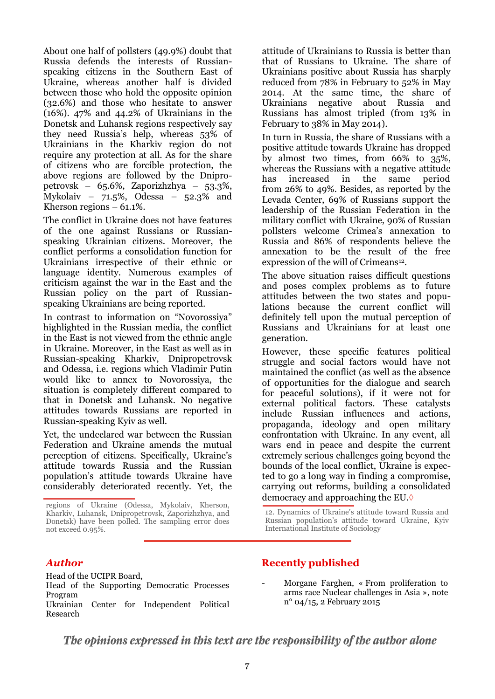About one half of pollsters (49.9%) doubt that Russia defends the interests of Russianspeaking citizens in the Southern East of Ukraine, whereas another half is divided between those who hold the opposite opinion (32.6%) and those who hesitate to answer (16%). 47% and 44.2% of Ukrainians in the Donetsk and Luhansk regions respectively say they need Russia's help, whereas 53% of Ukrainians in the Kharkiv region do not require any protection at all. As for the share of citizens who are forcible protection, the above regions are followed by the Dnipropetrovsk – 65.6%, Zaporizhzhya – 53.3%, Mykolaiv – 71.5%, Odessa – 52.3% and Kherson regions – 61.1%.

The conflict in Ukraine does not have features of the one against Russians or Russianspeaking Ukrainian citizens. Moreover, the conflict performs a consolidation function for Ukrainians irrespective of their ethnic or language identity. Numerous examples of criticism against the war in the East and the Russian policy on the part of Russianspeaking Ukrainians are being reported.

In contrast to information on "Novorossiya" highlighted in the Russian media, the conflict in the East is not viewed from the ethnic angle in Ukraine. Moreover, in the East as well as in Russian-speaking Kharkiv, Dnipropetrovsk and Odessa, i.e. regions which Vladimir Putin would like to annex to Novorossiya, the situation is completely different compared to that in Donetsk and Luhansk. No negative attitudes towards Russians are reported in Russian-speaking Kyiv as well.

Yet, the undeclared war between the Russian Federation and Ukraine amends the mutual perception of citizens. Specifically, Ukraine's attitude towards Russia and the Russian population's attitude towards Ukraine have considerably deteriorated recently. Yet, the

attitude of Ukrainians to Russia is better than that of Russians to Ukraine. The share of Ukrainians positive about Russia has sharply reduced from 78% in February to 52% in May 2014. At the same time, the share of Ukrainians negative about Russia and Russians has almost tripled (from 13% in February to 38% in May 2014).

In turn in Russia, the share of Russians with a positive attitude towards Ukraine has dropped by almost two times, from 66% to 35%, whereas the Russians with a negative attitude has increased in the same period from 26% to 49%. Besides, as reported by the Levada Center, 69% of Russians support the leadership of the Russian Federation in the military conflict with Ukraine, 90% of Russian pollsters welcome Crimea's annexation to Russia and 86% of respondents believe the annexation to be the result of the free expression of the will of Crimeans<sup>12</sup>.

The above situation raises difficult questions and poses complex problems as to future attitudes between the two states and populations because the current conflict will definitely tell upon the mutual perception of Russians and Ukrainians for at least one generation.

However, these specific features political struggle and social factors would have not maintained the conflict (as well as the absence of opportunities for the dialogue and search for peaceful solutions), if it were not for external political factors. These catalysts include Russian influences and actions, propaganda, ideology and open military confrontation with Ukraine. In any event, all wars end in peace and despite the current extremely serious challenges going beyond the bounds of the local conflict, Ukraine is expected to go a long way in finding a compromise, carrying out reforms, building a consolidated democracy and approaching the EU.

# *Author*

Head of the UCIPR Board, Head of the Supporting Democratic Processes Program Ukrainian Center for Independent Political Research

# **Recently published**

- Morgane Farghen, « From proliferation to arms race Nuclear challenges in Asia », note n° 04/15, 2 February 2015

The opinions expressed in this text are the responsibility of the author alone

regions of Ukraine (Odessa, Mykolaiv, Kherson, Kharkiv, Luhansk, Dnipropetrovsk, Zaporizhzhya, and Donetsk) have been polled. The sampling error does not exceed 0.95%.

<sup>12.</sup> Dynamics of Ukraine's attitude toward Russia and Russian population's attitude toward Ukraine, Kyiv International Institute of Sociology